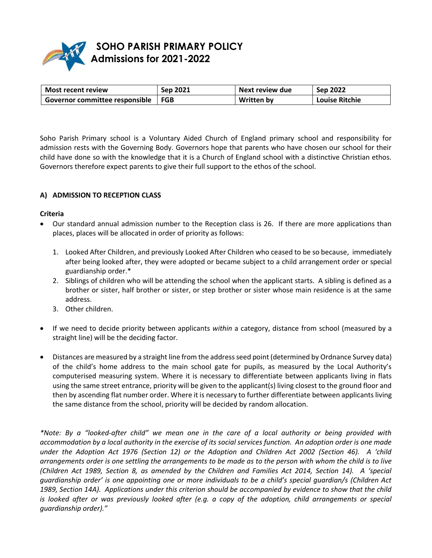

# **SOHO PARISH PRIMARY POLICY Admissions for 2021-2022**

| Most recent review             | Sep 2021 | Next review due   | Sep 2022              |
|--------------------------------|----------|-------------------|-----------------------|
| Governor committee responsible | l FGB    | <b>Written by</b> | <b>Louise Ritchie</b> |

Soho Parish Primary school is a Voluntary Aided Church of England primary school and responsibility for admission rests with the Governing Body. Governors hope that parents who have chosen our school for their child have done so with the knowledge that it is a Church of England school with a distinctive Christian ethos. Governors therefore expect parents to give their full support to the ethos of the school.

### **A) ADMISSION TO RECEPTION CLASS**

#### **Criteria**

- Our standard annual admission number to the Reception class is 26. If there are more applications than places, places will be allocated in order of priority as follows:
	- 1. Looked After Children, and previously Looked After Children who ceased to be so because, immediately after being looked after, they were adopted or became subject to a child arrangement order or special guardianship order.\*
	- 2. Siblings of children who will be attending the school when the applicant starts. A sibling is defined as a brother or sister, half brother or sister, or step brother or sister whose main residence is at the same address.
	- 3. Other children.
- If we need to decide priority between applicants *within* a category, distance from school (measured by a straight line) will be the deciding factor.
- Distances are measured by a straight line from the address seed point (determined by Ordnance Survey data) of the child's home address to the main school gate for pupils, as measured by the Local Authority's computerised measuring system. Where it is necessary to differentiate between applicants living in flats using the same street entrance, priority will be given to the applicant(s) living closest to the ground floor and then by ascending flat number order. Where it is necessary to further differentiate between applicants living the same distance from the school, priority will be decided by random allocation.

*\*Note: By a "looked-after child" we mean one in the care of a local authority or being provided with accommodation by a local authority in the exercise of its social services function. An adoption order is one made under the Adoption Act 1976 (Section 12) or the Adoption and Children Act 2002 (Section 46). A 'child arrangements order is one settling the arrangements to be made as to the person with whom the child is to live (Children Act 1989, Section 8, as amended by the Children and Families Act 2014, Section 14). A 'special guardianship order' is one appointing one or more individuals to be a child's special guardian/s (Children Act 1989, Section 14A). Applications under this criterion should be accompanied by evidence to show that the child*  is looked after or was previously looked after (e.g. a copy of the adoption, child arrangements or special *guardianship order)."*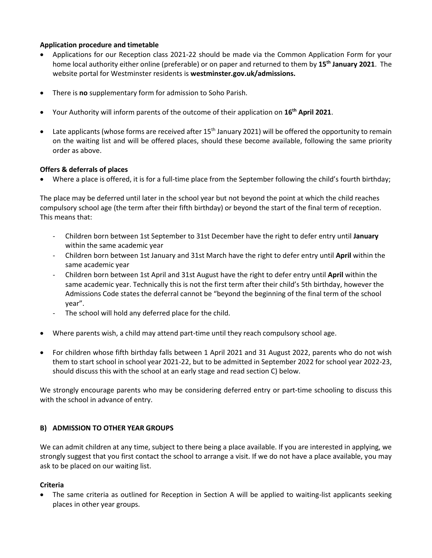### **Application procedure and timetable**

- Applications for our Reception class 2021-22 should be made via the Common Application Form for your home local authority either online (preferable) or on paper and returned to them by **15th January 2021**. The website portal for Westminster residents is **westminster.gov.uk/admissions.**
- There is **no** supplementary form for admission to Soho Parish.
- Your Authority will inform parents of the outcome of their application on **16th April 2021**.
- Late applicants (whose forms are received after 15<sup>th</sup> January 2021) will be offered the opportunity to remain on the waiting list and will be offered places, should these become available, following the same priority order as above.

# **Offers & deferrals of places**

Where a place is offered, it is for a full-time place from the September following the child's fourth birthday;

The place may be deferred until later in the school year but not beyond the point at which the child reaches compulsory school age (the term after their fifth birthday) or beyond the start of the final term of reception. This means that:

- Children born between 1st September to 31st December have the right to defer entry until **January**  within the same academic year
- Children born between 1st January and 31st March have the right to defer entry until **April** within the same academic year
- Children born between 1st April and 31st August have the right to defer entry until **April** within the same academic year. Technically this is not the first term after their child's 5th birthday, however the Admissions Code states the deferral cannot be "beyond the beginning of the final term of the school year".
- The school will hold any deferred place for the child.
- Where parents wish, a child may attend part-time until they reach compulsory school age.
- For children whose fifth birthday falls between 1 April 2021 and 31 August 2022, parents who do not wish them to start school in school year 2021-22, but to be admitted in September 2022 for school year 2022-23, should discuss this with the school at an early stage and read section C) below.

We strongly encourage parents who may be considering deferred entry or part-time schooling to discuss this with the school in advance of entry.

# **B) ADMISSION TO OTHER YEAR GROUPS**

We can admit children at any time, subject to there being a place available. If you are interested in applying, we strongly suggest that you first contact the school to arrange a visit. If we do not have a place available, you may ask to be placed on our waiting list.

# **Criteria**

 The same criteria as outlined for Reception in Section A will be applied to waiting-list applicants seeking places in other year groups.